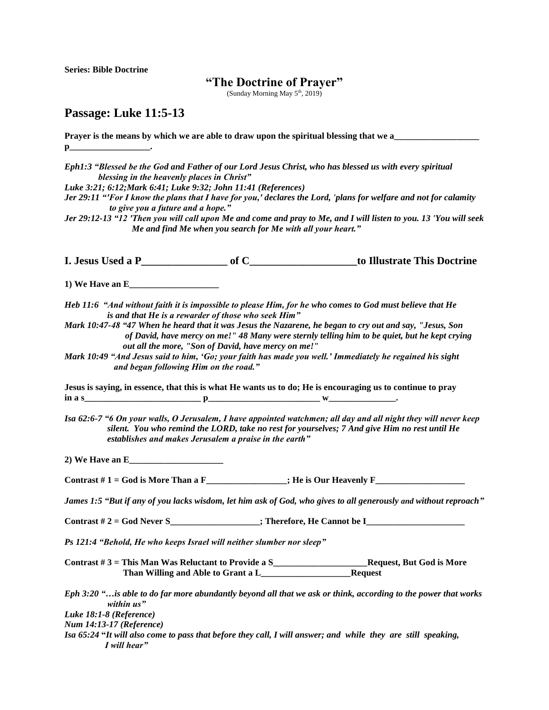**Series: Bible Doctrine**

## **"The Doctrine of Prayer"**

(Sunday Morning May  $5<sup>th</sup>$ , 2019)

## **Passage: Luke 11:5-13**

**Prayer is the means by which we are able to draw upon the spiritual blessing that we a p\_\_\_\_** 

*Eph1:3 "Blessed be the God and Father of our Lord Jesus Christ, who has blessed us with every spiritual blessing in the heavenly places in Christ"*

*Luke 3:21; 6:12;Mark 6:41; Luke 9:32; John 11:41 (References)*

*Jer 29:11 "'For I know the plans that I have for you,' declares the Lord, 'plans for welfare and not for calamity to give you a future and a hope."*

*Jer 29:12-13 "12 'Then you will call upon Me and come and pray to Me, and I will listen to you. 13 'You will seek Me and find Me when you search for Me with all your heart."*

**I. Jesus Used a P\_\_\_\_\_\_\_\_\_\_\_\_\_\_\_\_ of C\_\_\_\_\_\_\_\_\_\_\_\_\_\_\_\_\_\_\_\_to Illustrate This Doctrine**

**1) We Have an E\_\_\_\_\_\_\_\_\_\_\_\_\_\_\_\_\_\_\_\_**

*Heb 11:6**"And without faith it is impossible to please Him, for he who comes to God must believe that He is and that He is a rewarder of those who seek Him"*

*Mark 10:47-48 "47 When he heard that it was Jesus the Nazarene, he began to cry out and say, "Jesus, Son of David, have mercy on me!" 48 Many were sternly telling him to be quiet, but he kept crying out all the more, "Son of David, have mercy on me!"*

*Mark 10:49 "And Jesus said to him, 'Go; your faith has made you well.' Immediately he regained his sight and began following Him on the road."*

**Jesus is saying, in essence, that this is what He wants us to do; He is encouraging us to continue to pray in a s\_\_\_\_\_\_\_\_\_\_\_\_\_\_\_\_\_\_\_\_\_\_\_\_\_\_ p\_\_\_\_\_\_\_\_\_\_\_\_\_\_\_\_\_\_\_\_\_\_\_\_\_ w\_\_\_\_\_\_\_\_\_\_\_\_\_\_\_.**

*Isa 62:6-7 "6 On your walls, O Jerusalem, I have appointed watchmen; all day and all night they will never keep silent. You who remind the LORD, take no rest for yourselves; 7 And give Him no rest until He establishes and makes Jerusalem a praise in the earth"*

**2) We Have an E\_\_\_\_\_\_\_\_\_\_\_\_\_\_\_\_\_\_\_\_\_**

Contrast  $# 1 =$  God is More Than a  $F_$ \_\_\_\_\_\_\_\_\_\_\_\_\_\_\_\_; He is Our Heavenly  $F_$ 

*James 1:5 "But if any of you lacks wisdom, let him ask of God, who gives to all generously and without reproach"*

**Contrast # 2 = God Never S\_\_\_\_\_\_\_\_\_\_\_\_\_\_\_\_\_\_\_\_; Therefore, He Cannot be I\_\_\_\_\_\_\_\_\_\_\_\_\_\_\_\_\_\_\_\_\_\_**

*Ps 121:4 "Behold, He who keeps Israel will neither slumber nor sleep"* 

**Contrast # 3 = This Man Was Reluctant to Provide a S\_\_\_\_\_\_\_\_\_\_\_\_\_\_\_\_\_\_\_\_\_Request, But God is More Than Willing and Able to Grant a L\_\_\_\_\_\_\_\_\_\_\_\_\_\_\_\_\_\_\_\_Request**

*Eph 3:20 "…is able to do far more abundantly beyond all that we ask or think, according to the power that works within us"* 

*Luke 18:1-8 (Reference)*

*Num 14:13-17 (Reference)*

*Isa 65:24* **"***It will also come to pass that before they call, I will answer; and while they are still speaking, I will hear"*